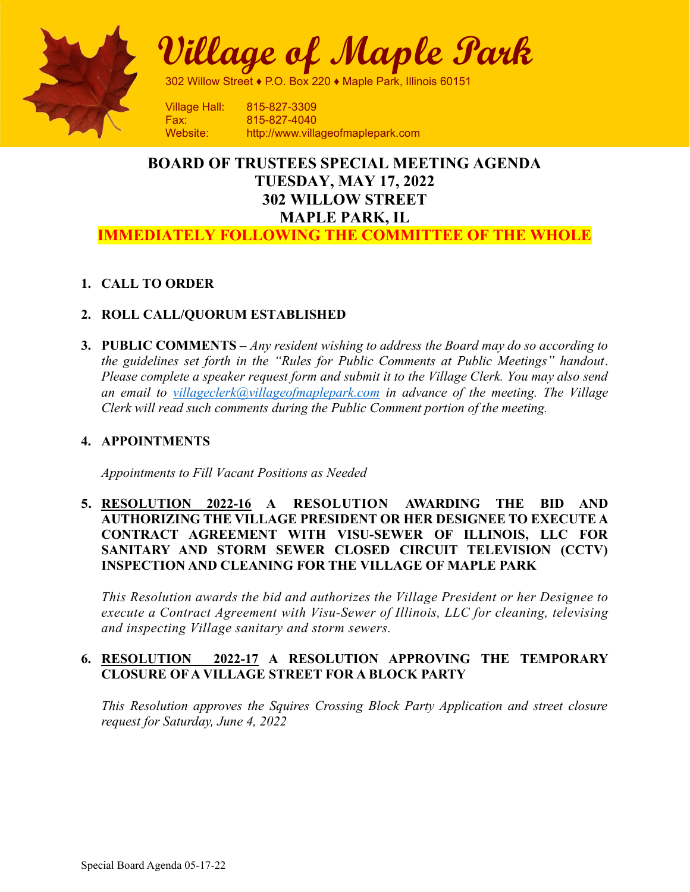

Village of Maple Park

302 Willow Street ♦ P.O. Box 220 ♦ Maple Park, Illinois 60151

Fax: 815-827-4040 Website: http://www.villageofmaplepark.com

# BOARD OF TRUSTEES SPECIAL MEETING AGENDA TUESDAY, MAY 17, 2022 302 WILLOW STREET MAPLE PARK, IL

## IMMEDIATELY FOLLOWING THE COMMITTEE OF THE WHOLE

## 1. CALL TO ORDER

## 2. ROLL CALL/QUORUM ESTABLISHED

**3. PUBLIC COMMENTS** – Any resident wishing to address the Board may do so according to the guidelines set forth in the "Rules for Public Comments at Public Meetings" handout. Please complete a speaker request form and submit it to the Village Clerk. You may also send an email to villageclerk@villageofmaplepark.com in advance of the meeting. The Village Clerk will read such comments during the Public Comment portion of the meeting.

#### 4. APPOINTMENTS

Appointments to Fill Vacant Positions as Needed

5. RESOLUTION 2022-16 A RESOLUTION AWARDING THE BID AND AUTHORIZING THE VILLAGE PRESIDENT OR HER DESIGNEE TO EXECUTE A CONTRACT AGREEMENT WITH VISU-SEWER OF ILLINOIS, LLC FOR SANITARY AND STORM SEWER CLOSED CIRCUIT TELEVISION (CCTV) INSPECTION AND CLEANING FOR THE VILLAGE OF MAPLE PARK

This Resolution awards the bid and authorizes the Village President or her Designee to execute a Contract Agreement with Visu-Sewer of Illinois, LLC for cleaning, televising and inspecting Village sanitary and storm sewers.

## 6. RESOLUTION 2022-17 A RESOLUTION APPROVING THE TEMPORARY CLOSURE OF A VILLAGE STREET FOR A BLOCK PARTY

This Resolution approves the Squires Crossing Block Party Application and street closure request for Saturday, June 4, 2022